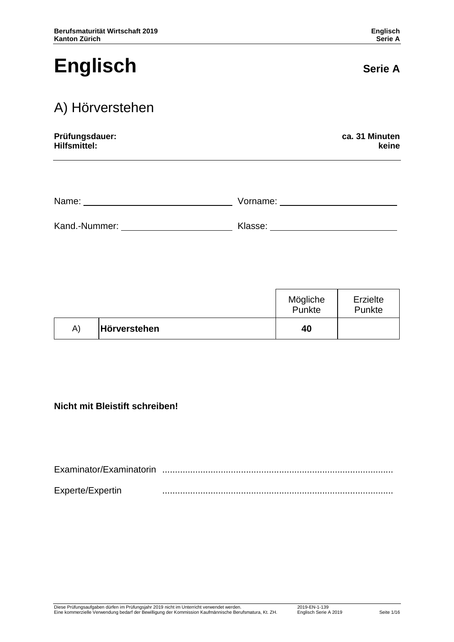# **Englisch** Serie A

## A) Hörverstehen

| Prüfungsdauer: | ca. 31 Minuten |
|----------------|----------------|
| Hilfsmittel:   | keine          |

| Name:         | Vorname: |
|---------------|----------|
| Kand.-Nummer: | Klasse:  |

|    |              | Mögliche<br>Punkte | Erzielte<br>Punkte |
|----|--------------|--------------------|--------------------|
| A) | Hörverstehen | 40                 |                    |

#### **Nicht mit Bleistift schreiben!**

| Examinator/Examinatorin |  |
|-------------------------|--|
| Experte/Expertin        |  |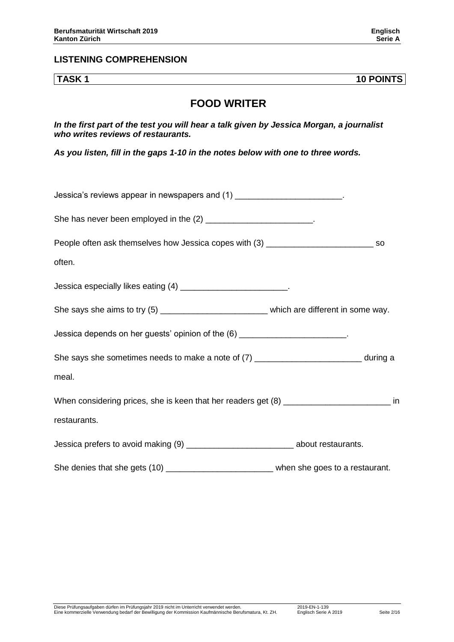#### **LISTENING COMPREHENSION**

**TASK 1 10 POINTS**

#### **FOOD WRITER**

*In the first part of the test you will hear a talk given by Jessica Morgan, a journalist who writes reviews of restaurants.*

*As you listen, fill in the gaps 1-10 in the notes below with one to three words.*

| Jessica's reviews appear in newspapers and (1) ________________________.                        |  |
|-------------------------------------------------------------------------------------------------|--|
| She has never been employed in the (2) ________________________.                                |  |
| People often ask themselves how Jessica copes with (3) __________________________ so            |  |
| often.                                                                                          |  |
| Jessica especially likes eating (4) ___________________________.                                |  |
| She says she aims to try (5) _________________________________ which are different in some way. |  |
| Jessica depends on her guests' opinion of the (6) _______________________.                      |  |
| She says she sometimes needs to make a note of (7) _____________________________ during a       |  |
| meal.                                                                                           |  |
| When considering prices, she is keen that her readers get (8) ____________________________ in   |  |
| restaurants.                                                                                    |  |
| Jessica prefers to avoid making (9) ________________________________ about restaurants.         |  |
| She denies that she gets (10) ______________________________when she goes to a restaurant.      |  |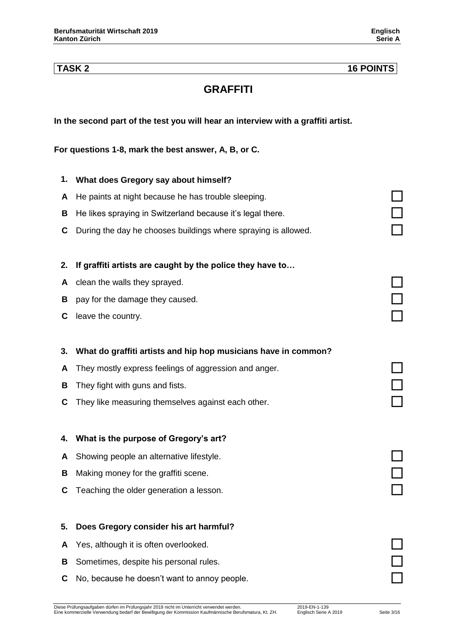#### **TASK 2 16 POINTS**

### **GRAFFITI**

#### **In the second part of the test you will hear an interview with a graffiti artist.**

**For questions 1-8, mark the best answer, A, B, or C.** 

# **1. What does Gregory say about himself? <sup>A</sup>** He paints at night because he has trouble sleeping. **<sup>B</sup>** He likes spraying in Switzerland because it's legal there. **<sup>C</sup>** During the day he chooses buildings where spraying is allowed. **2. If graffiti artists are caught by the police they have to… <sup>A</sup>** clean the walls they sprayed. **<sup>B</sup>** pay for the damage they caused. **<sup>C</sup>** leave the country. **3. What do graffiti artists and hip hop musicians have in common? <sup>A</sup>** They mostly express feelings of aggression and anger. **<sup>B</sup>** They fight with guns and fists. **<sup>C</sup>** They like measuring themselves against each other. **4. What is the purpose of Gregory's art? <sup>A</sup>** Showing people an alternative lifestyle. **<sup>B</sup>** Making money for the graffiti scene. **<sup>C</sup>** Teaching the older generation a lesson. **5. Does Gregory consider his art harmful? <sup>A</sup>** Yes, although it is often overlooked. **B** Sometimes, despite his personal rules.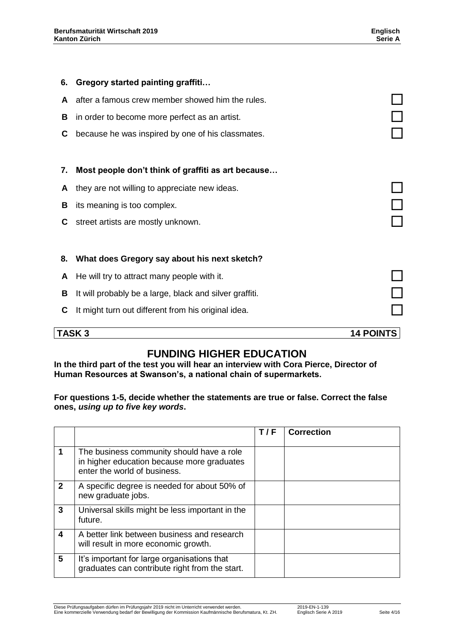| 6. | <b>Gregory started painting graffiti</b>                |                  |
|----|---------------------------------------------------------|------------------|
| A  | after a famous crew member showed him the rules.        |                  |
| В  | in order to become more perfect as an artist.           |                  |
| С  | because he was inspired by one of his classmates.       |                  |
|    |                                                         |                  |
| 7. | Most people don't think of graffiti as art because      |                  |
| A  | they are not willing to appreciate new ideas.           |                  |
| в  | its meaning is too complex.                             |                  |
| С  | street artists are mostly unknown.                      |                  |
|    |                                                         |                  |
| 8. | What does Gregory say about his next sketch?            |                  |
| A  | He will try to attract many people with it.             |                  |
| В  | It will probably be a large, black and silver graffiti. |                  |
| С  | It might turn out different from his original idea.     |                  |
|    | <b>TASK3</b>                                            | <b>14 POINTS</b> |
|    |                                                         |                  |

### **FUNDING HIGHER EDUCATION**

**In the third part of the test you will hear an interview with Cora Pierce, Director of Human Resources at Swanson's, a national chain of supermarkets.**

**For questions 1-5, decide whether the statements are true or false. Correct the false ones,** *using up to five key words***.** 

|              |                                                                                                                         | T/F | <b>Correction</b> |
|--------------|-------------------------------------------------------------------------------------------------------------------------|-----|-------------------|
| 1            | The business community should have a role<br>in higher education because more graduates<br>enter the world of business. |     |                   |
| $\mathbf{2}$ | A specific degree is needed for about 50% of<br>new graduate jobs.                                                      |     |                   |
| 3            | Universal skills might be less important in the<br>future.                                                              |     |                   |
| 4            | A better link between business and research<br>will result in more economic growth.                                     |     |                   |
| 5            | It's important for large organisations that<br>graduates can contribute right from the start.                           |     |                   |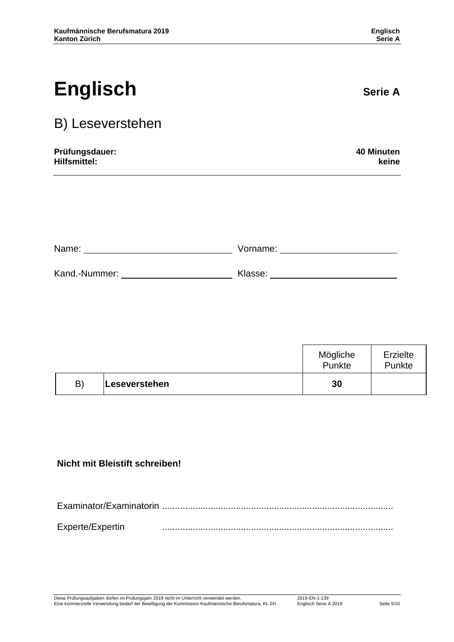# **Englisch** Serie A

## B) Leseverstehen

| 40 Minuten |
|------------|
| keine      |
|            |

| Name:         | Vorname: |  |
|---------------|----------|--|
|               |          |  |
| Kand.-Nummer: | Klasse:  |  |

|    |               | Mögliche<br>Punkte | Erzielte<br>Punkte |
|----|---------------|--------------------|--------------------|
| B) | Leseverstehen | 30                 |                    |

### **Nicht mit Bleistift schreiben!**

| Experte/Expertin |  |
|------------------|--|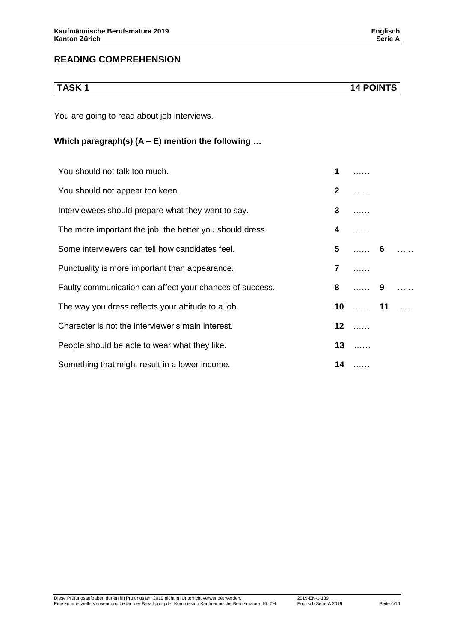You are going to read about job interviews.

#### **Which paragraph(s) (A – E) mention the following …**

| You should not talk too much.                            | 1                       |            |  |
|----------------------------------------------------------|-------------------------|------------|--|
| You should not appear too keen.                          | $\mathbf{2}$            |            |  |
| Interviewees should prepare what they want to say.       | 3                       |            |  |
| The more important the job, the better you should dress. | 4                       |            |  |
| Some interviewers can tell how candidates feel.          | 5                       | $\ldots$ 6 |  |
| Punctuality is more important than appearance.           | $\overline{\mathbf{r}}$ | 1.1.1.1    |  |
| Faulty communication can affect your chances of success. | 8                       | . 9        |  |
| The way you dress reflects your attitude to a job.       |                         | 10  11     |  |
| Character is not the interviewer's main interest.        |                         | $12$       |  |
| People should be able to wear what they like.            |                         | $13$       |  |
| Something that might result in a lower income.           |                         | $14$       |  |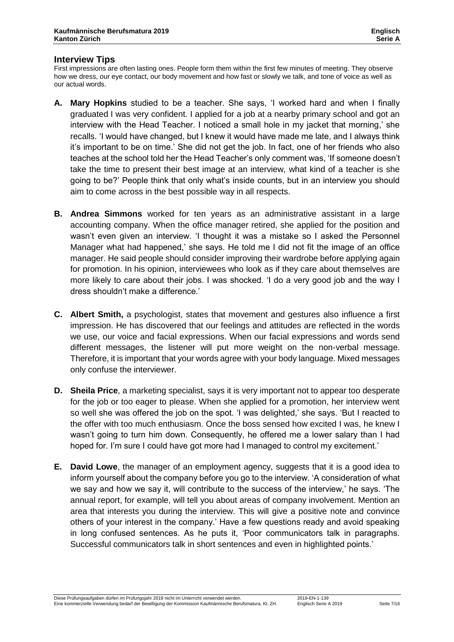#### **Interview Tips**

First impressions are often lasting ones. People form them within the first few minutes of meeting. They observe how we dress, our eye contact, our body movement and how fast or slowly we talk, and tone of voice as well as our actual words.

- **A. Mary Hopkins** studied to be a teacher. She says, 'I worked hard and when I finally graduated I was very confident. I applied for a job at a nearby primary school and got an interview with the Head Teacher. I noticed a small hole in my jacket that morning,' she recalls. 'I would have changed, but I knew it would have made me late, and I always think it's important to be on time.' She did not get the job. In fact, one of her friends who also teaches at the school told her the Head Teacher's only comment was, 'If someone doesn't take the time to present their best image at an interview, what kind of a teacher is she going to be?' People think that only what's inside counts, but in an interview you should aim to come across in the best possible way in all respects.
- **B. Andrea Simmons** worked for ten years as an administrative assistant in a large accounting company. When the office manager retired, she applied for the position and wasn't even given an interview. 'I thought it was a mistake so I asked the Personnel Manager what had happened,' she says. He told me I did not fit the image of an office manager. He said people should consider improving their wardrobe before applying again for promotion. In his opinion, interviewees who look as if they care about themselves are more likely to care about their jobs. I was shocked. 'I do a very good job and the way I dress shouldn't make a difference.'
- **C. Albert Smith,** a psychologist, states that movement and gestures also influence a first impression. He has discovered that our feelings and attitudes are reflected in the words we use, our voice and facial expressions. When our facial expressions and words send different messages, the listener will put more weight on the non-verbal message. Therefore, it is important that your words agree with your body language. Mixed messages only confuse the interviewer.
- **D. Sheila Price**, a marketing specialist, says it is very important not to appear too desperate for the job or too eager to please. When she applied for a promotion, her interview went so well she was offered the job on the spot. 'I was delighted,' she says. 'But I reacted to the offer with too much enthusiasm. Once the boss sensed how excited I was, he knew I wasn't going to turn him down. Consequently, he offered me a lower salary than I had hoped for. I'm sure I could have got more had I managed to control my excitement.'
- **E. David Lowe**, the manager of an employment agency, suggests that it is a good idea to inform yourself about the company before you go to the interview. 'A consideration of what we say and how we say it, will contribute to the success of the interview,' he says. 'The annual report, for example, will tell you about areas of company involvement. Mention an area that interests you during the interview. This will give a positive note and convince others of your interest in the company.' Have a few questions ready and avoid speaking in long confused sentences. As he puts it, 'Poor communicators talk in paragraphs. Successful communicators talk in short sentences and even in highlighted points.'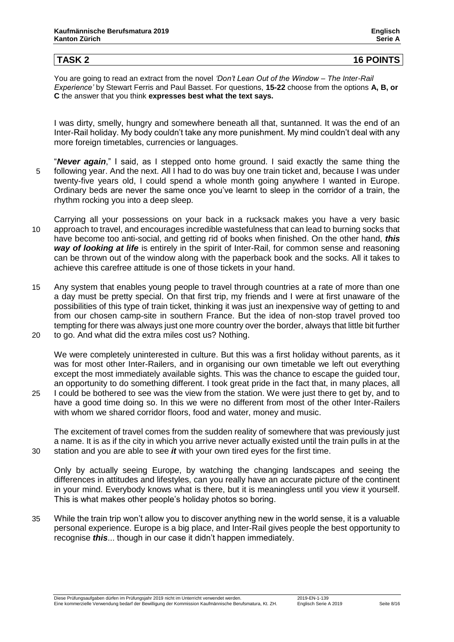### **TASK 2 16 POINTS**

You are going to read an extract from the novel *'Don't Lean Out of the Window – The Inter-Rail Experience'* by Stewart Ferris and Paul Basset. For questions, **15-22** choose from the options **A, B, or C** the answer that you think **expresses best what the text says.**

I was dirty, smelly, hungry and somewhere beneath all that, suntanned. It was the end of an Inter-Rail holiday. My body couldn't take any more punishment. My mind couldn't deal with any more foreign timetables, currencies or languages.

- "*Never again*," I said, as I stepped onto home ground. I said exactly the same thing the 5 following year. And the next. All I had to do was buy one train ticket and, because I was under twenty-five years old, I could spend a whole month going anywhere I wanted in Europe. Ordinary beds are never the same once you've learnt to sleep in the corridor of a train, the rhythm rocking you into a deep sleep.
- Carrying all your possessions on your back in a rucksack makes you have a very basic 10 approach to travel, and encourages incredible wastefulness that can lead to burning socks that have become too anti-social, and getting rid of books when finished. On the other hand, *this way of looking at life* is entirely in the spirit of Inter-Rail, for common sense and reasoning can be thrown out of the window along with the paperback book and the socks. All it takes to achieve this carefree attitude is one of those tickets in your hand.
- 15 Any system that enables young people to travel through countries at a rate of more than one a day must be pretty special. On that first trip, my friends and I were at first unaware of the possibilities of this type of train ticket, thinking it was just an inexpensive way of getting to and from our chosen camp-site in southern France. But the idea of non-stop travel proved too tempting for there was always just one more country over the border, always that little bit further 20 to go. And what did the extra miles cost us? Nothing.
- We were completely uninterested in culture. But this was a first holiday without parents, as it was for most other Inter-Railers, and in organising our own timetable we left out everything except the most immediately available sights. This was the chance to escape the guided tour, an opportunity to do something different. I took great pride in the fact that, in many places, all 25 I could be bothered to see was the view from the station. We were just there to get by, and to have a good time doing so. In this we were no different from most of the other Inter-Railers

The excitement of travel comes from the sudden reality of somewhere that was previously just a name. It is as if the city in which you arrive never actually existed until the train pulls in at the 30 station and you are able to see *it* with your own tired eyes for the first time.

with whom we shared corridor floors, food and water, money and music.

Only by actually seeing Europe, by watching the changing landscapes and seeing the differences in attitudes and lifestyles, can you really have an accurate picture of the continent in your mind. Everybody knows what is there, but it is meaningless until you view it yourself. This is what makes other people's holiday photos so boring.

35 While the train trip won't allow you to discover anything new in the world sense, it is a valuable personal experience. Europe is a big place, and Inter-Rail gives people the best opportunity to recognise *this*... though in our case it didn't happen immediately.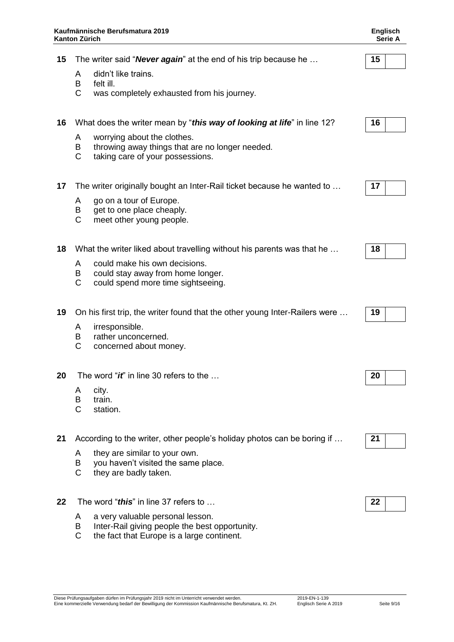| Kaufmännische Berufsmatura 2019<br><b>Kanton Zürich</b> |                                                                                                            | Englisch<br><b>Serie A</b>                                                                               |    |
|---------------------------------------------------------|------------------------------------------------------------------------------------------------------------|----------------------------------------------------------------------------------------------------------|----|
| 15                                                      |                                                                                                            | The writer said " <b>Never again</b> " at the end of his trip because he                                 | 15 |
|                                                         | didn't like trains.<br>A                                                                                   |                                                                                                          |    |
|                                                         | B<br>felt ill.<br>C                                                                                        | was completely exhausted from his journey.                                                               |    |
| 16                                                      |                                                                                                            | What does the writer mean by "this way of looking at life" in line 12?                                   | 16 |
|                                                         | worrying about the clothes.<br>A<br>B<br>$\mathsf{C}$                                                      | throwing away things that are no longer needed.<br>taking care of your possessions.                      |    |
| 17                                                      |                                                                                                            | The writer originally bought an Inter-Rail ticket because he wanted to                                   | 17 |
|                                                         | go on a tour of Europe.<br>A<br>get to one place cheaply.<br>B<br>$\mathsf{C}$<br>meet other young people. |                                                                                                          |    |
| 18                                                      |                                                                                                            | What the writer liked about travelling without his parents was that he                                   | 18 |
|                                                         | A<br>B<br>$\mathsf{C}$                                                                                     | could make his own decisions.<br>could stay away from home longer.<br>could spend more time sightseeing. |    |
| 19                                                      |                                                                                                            | On his first trip, the writer found that the other young Inter-Railers were                              | 19 |
|                                                         | irresponsible.<br>A<br>B<br>rather unconcerned.<br>C<br>concerned about money.                             |                                                                                                          |    |
| 20                                                      |                                                                                                            | The word "it" in line 30 refers to the                                                                   | 20 |
|                                                         | city.<br>A<br>B<br>train.<br>C<br>station.                                                                 |                                                                                                          |    |
| 21                                                      |                                                                                                            | According to the writer, other people's holiday photos can be boring if                                  | 21 |
|                                                         | they are similar to your own.<br>A<br>B<br>$\mathsf{C}$<br>they are badly taken.                           | you haven't visited the same place.                                                                      |    |
| 22                                                      | The word "this" in line 37 refers to                                                                       |                                                                                                          | 22 |

- A a very valuable personal lesson.<br>B lnter-Rail giving people the best
- B Inter-Rail giving people the best opportunity.<br>C the fact that Europe is a large continent.
- the fact that Europe is a large continent.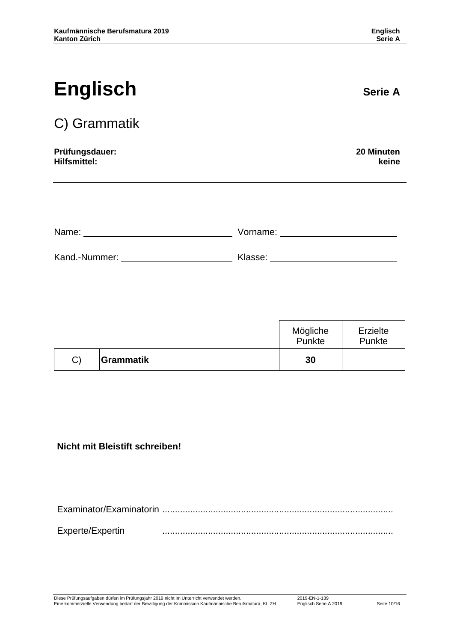# **Englisch** Serie A

## C) Grammatik

#### **Prüfungsdauer: 20 Minuten Hilfsmittel: keine**

| Name:         | Vorname: |
|---------------|----------|
|               |          |
| Kand.-Nummer: | Klasse:  |

|    |           | Mögliche<br>Punkte | Erzielte<br>Punkte |
|----|-----------|--------------------|--------------------|
| C) | Grammatik | 30                 |                    |

#### **Nicht mit Bleistift schreiben!**

Examinator/Examinatorin ........................................................................................... Experte/Expertin ...........................................................................................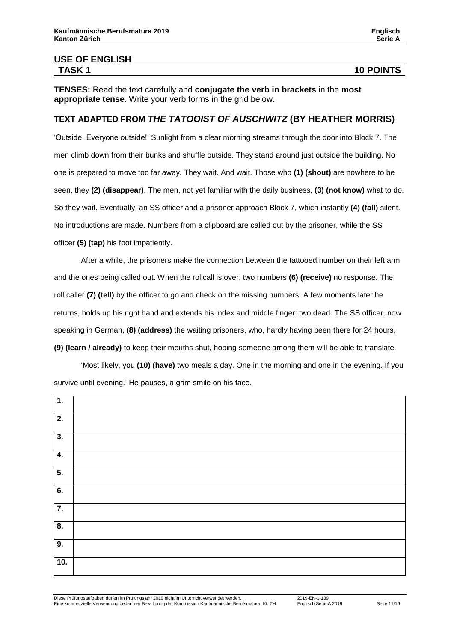**TENSES:** Read the text carefully and **conjugate the verb in brackets** in the **most appropriate tense**. Write your verb forms in the grid below.

#### **TEXT ADAPTED FROM** *THE TATOOIST OF AUSCHWITZ* **(BY HEATHER MORRIS)**

'Outside. Everyone outside!' Sunlight from a clear morning streams through the door into Block 7. The men climb down from their bunks and shuffle outside. They stand around just outside the building. No one is prepared to move too far away. They wait. And wait. Those who **(1) (shout)** are nowhere to be seen, they **(2) (disappear)**. The men, not yet familiar with the daily business, **(3) (not know)** what to do. So they wait. Eventually, an SS officer and a prisoner approach Block 7, which instantly **(4) (fall)** silent. No introductions are made. Numbers from a clipboard are called out by the prisoner, while the SS officer **(5) (tap)** his foot impatiently.

After a while, the prisoners make the connection between the tattooed number on their left arm and the ones being called out. When the rollcall is over, two numbers **(6) (receive)** no response. The roll caller **(7) (tell)** by the officer to go and check on the missing numbers. A few moments later he returns, holds up his right hand and extends his index and middle finger: two dead. The SS officer, now speaking in German, **(8) (address)** the waiting prisoners, who, hardly having been there for 24 hours, **(9) (learn / already)** to keep their mouths shut, hoping someone among them will be able to translate.

'Most likely, you **(10) (have)** two meals a day. One in the morning and one in the evening. If you survive until evening.' He pauses, a grim smile on his face.

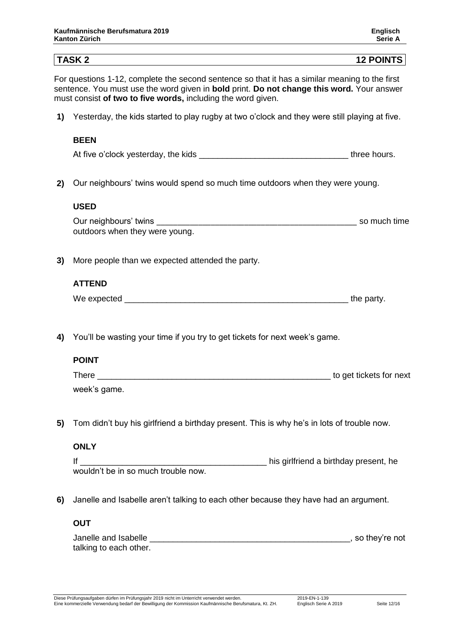## **TASK 2 12 POINTS** For questions 1-12, complete the second sentence so that it has a similar meaning to the first sentence. You must use the word given in **bold** print. **Do not change this word.** Your answer must consist **of two to five words,** including the word given. **1)** 1Yesterday, the kids started to play rugby at two o'clock and they were still playing at five. **BEEN** At five o'clock yesterday, the kids \_\_\_\_\_\_\_\_\_\_\_\_\_\_\_\_\_\_\_\_\_\_\_\_\_\_\_\_\_\_\_\_ three hours. **2)** 2Our neighbours' twins would spend so much time outdoors when they were young. **USED** Our neighbours' twins example of the state of the state of the state of the state of the state of the state of the state of the state of the state of the state of the state of the state of the state of the state of the sta outdoors when they were young. **3)** More people than we expected attended the party. **ATTEND** We expected the state of the party. **4)** You'll be wasting your time if you try to get tickets for next week's game. **POINT** There \_\_\_\_\_\_\_\_\_\_\_\_\_\_\_\_\_\_\_\_\_\_\_\_\_\_\_\_\_\_\_\_\_\_\_\_\_\_\_\_\_\_\_\_\_\_\_\_\_\_ to get tickets for next week's game. **5)** 5Tom didn't buy his girlfriend a birthday present. This is why he's in lots of trouble now. **ONLY** If \_\_\_\_\_\_\_\_\_\_\_\_\_\_\_\_\_\_\_\_\_\_\_\_\_\_\_\_\_\_\_\_\_\_\_\_\_\_\_\_ his girlfriend a birthday present, he wouldn't be in so much trouble now. **6)** Janelle and Isabelle aren't talking to each other because they have had an argument. **OUT** Janelle and Isabelle **Solution** and Isabelle **and Isabelle** and Isabelle and Isabelle and Isabelle and Isabelle and Isabelle and Isabelle and Isabelle and Isabelle and Isabelle and Isabelle and Isabelle and Isabelle and Is talking to each other.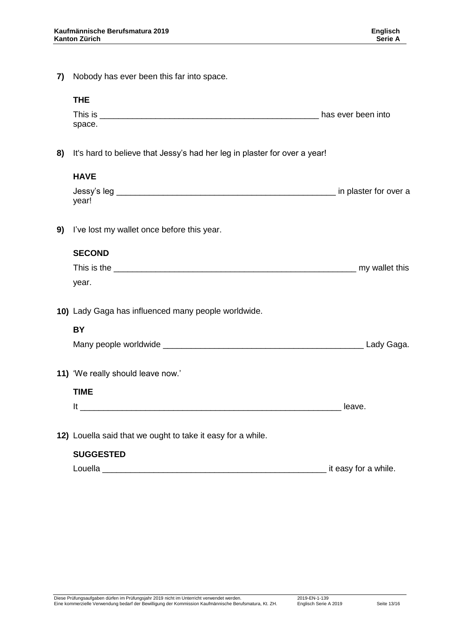**7)** Nobody has ever been this far into space.

|    | <b>THE</b>                                                                |                         |
|----|---------------------------------------------------------------------------|-------------------------|
|    | space.                                                                    |                         |
|    |                                                                           |                         |
| 8) | It's hard to believe that Jessy's had her leg in plaster for over a year! |                         |
|    | <b>HAVE</b>                                                               |                         |
|    | year!                                                                     |                         |
| 9) | I've lost my wallet once before this year.                                |                         |
|    | <b>SECOND</b>                                                             |                         |
|    |                                                                           |                         |
|    | year.                                                                     |                         |
|    | 10) Lady Gaga has influenced many people worldwide.                       |                         |
|    | BY                                                                        |                         |
|    |                                                                           |                         |
|    | 11) 'We really should leave now.'                                         |                         |
|    | <b>TIME</b>                                                               |                         |
|    |                                                                           |                         |
|    | 12) Louella said that we ought to take it easy for a while.               |                         |
|    | <b>SUGGESTED</b>                                                          |                         |
|    |                                                                           | __ it easy for a while. |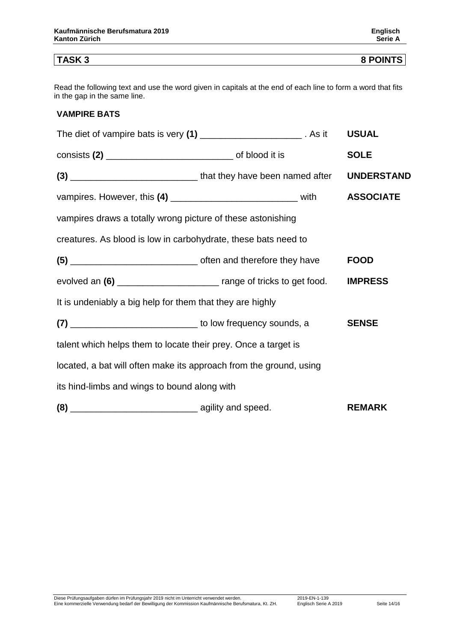**TASK 3 8 POINTS**

Read the following text and use the word given in capitals at the end of each line to form a word that fits in the gap in the same line.

#### **VAMPIRE BATS**

| The diet of vampire bats is very (1) ________________________. As it             |  |  | <b>USUAL</b>     |  |  |
|----------------------------------------------------------------------------------|--|--|------------------|--|--|
|                                                                                  |  |  | <b>SOLE</b>      |  |  |
| (3) __________________________________that they have been named after UNDERSTAND |  |  |                  |  |  |
| vampires. However, this (4) __________________________________ with              |  |  | <b>ASSOCIATE</b> |  |  |
| vampires draws a totally wrong picture of these astonishing                      |  |  |                  |  |  |
| creatures. As blood is low in carbohydrate, these bats need to                   |  |  |                  |  |  |
|                                                                                  |  |  | <b>FOOD</b>      |  |  |
| evolved an (6) ____________________________ range of tricks to get food.         |  |  | <b>IMPRESS</b>   |  |  |
| It is undeniably a big help for them that they are highly                        |  |  |                  |  |  |
| (7) _________________________________ to low frequency sounds, a                 |  |  | <b>SENSE</b>     |  |  |
| talent which helps them to locate their prey. Once a target is                   |  |  |                  |  |  |
| located, a bat will often make its approach from the ground, using               |  |  |                  |  |  |
| its hind-limbs and wings to bound along with                                     |  |  |                  |  |  |
|                                                                                  |  |  | <b>REMARK</b>    |  |  |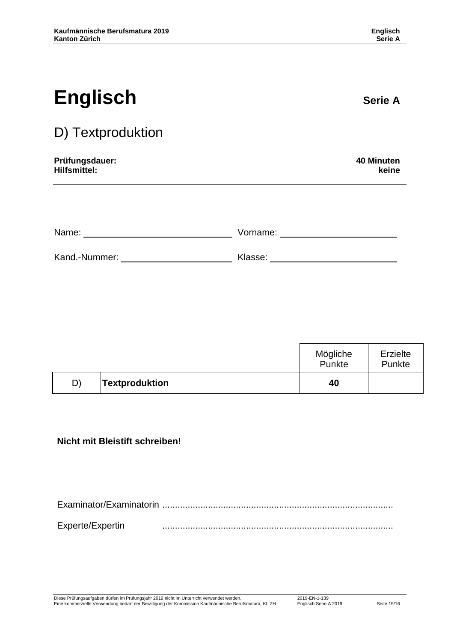| <b>Englisch</b>   | <b>Serie A</b> |
|-------------------|----------------|
| D) Textproduktion |                |

# **Prüfungsdauer: 40 Minuten**

**Hilfsmittel: keine**

| Name:         | Vorname: |
|---------------|----------|
| Kand.-Nummer: | Klasse:  |

|    |                       | Mögliche<br>Punkte | Erzielte<br>Punkte |
|----|-----------------------|--------------------|--------------------|
| D) | <b>Textproduktion</b> | 40                 |                    |

#### **Nicht mit Bleistift schreiben!**

Examinator/Examinatorin ........................................................................................... Experte/Expertin ...........................................................................................